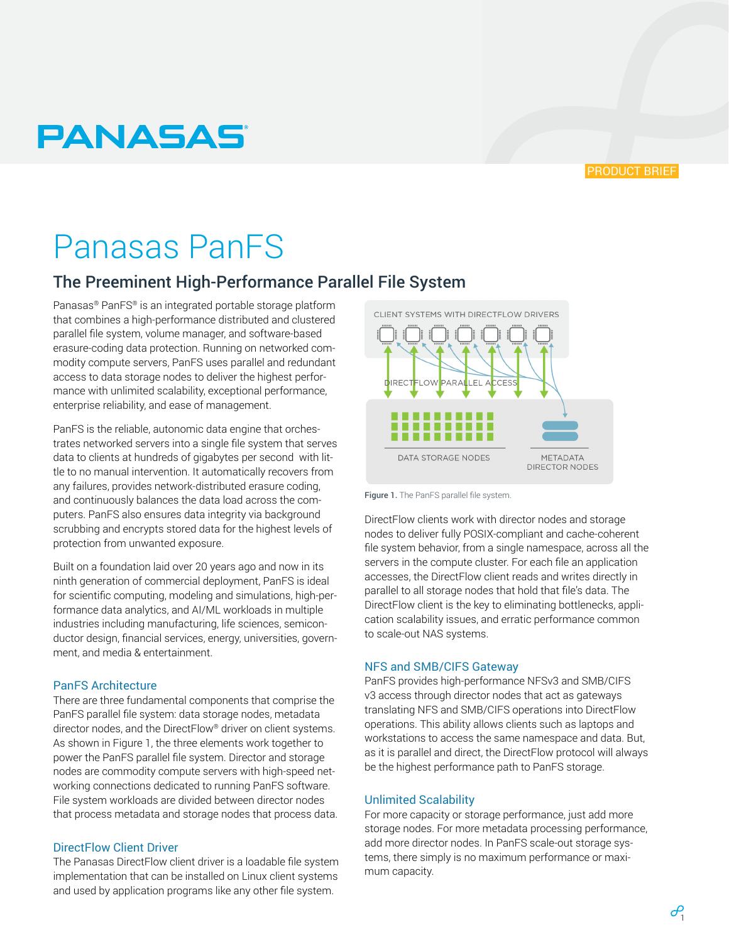

# **PANASAS**

# Panasas PanFS

# The Preeminent High-Performance Parallel File System

Panasas® PanFS® is an integrated portable storage platform that combines a high-performance distributed and clustered parallel file system, volume manager, and software-based erasure-coding data protection. Running on networked commodity compute servers, PanFS uses parallel and redundant access to data storage nodes to deliver the highest performance with unlimited scalability, exceptional performance, enterprise reliability, and ease of management.

PanFS is the reliable, autonomic data engine that orchestrates networked servers into a single file system that serves data to clients at hundreds of gigabytes per second with little to no manual intervention. It automatically recovers from any failures, provides network-distributed erasure coding, and continuously balances the data load across the computers. PanFS also ensures data integrity via background scrubbing and encrypts stored data for the highest levels of protection from unwanted exposure.

Built on a foundation laid over 20 years ago and now in its ninth generation of commercial deployment, PanFS is ideal for scientific computing, modeling and simulations, high-performance data analytics, and AI/ML workloads in multiple industries including manufacturing, life sciences, semiconductor design, financial services, energy, universities, government, and media & entertainment.

#### PanFS Architecture

There are three fundamental components that comprise the PanFS parallel file system: data storage nodes, metadata director nodes, and the DirectFlow® driver on client systems. As shown in Figure 1, the three elements work together to power the PanFS parallel file system. Director and storage nodes are commodity compute servers with high-speed networking connections dedicated to running PanFS software. File system workloads are divided between director nodes that process metadata and storage nodes that process data.

#### DirectFlow Client Driver

The Panasas DirectFlow client driver is a loadable file system implementation that can be installed on Linux client systems and used by application programs like any other file system.



Figure 1. The PanFS parallel file system.

DirectFlow clients work with director nodes and storage nodes to deliver fully POSIX-compliant and cache-coherent file system behavior, from a single namespace, across all the servers in the compute cluster. For each file an application accesses, the DirectFlow client reads and writes directly in parallel to all storage nodes that hold that file's data. The DirectFlow client is the key to eliminating bottlenecks, application scalability issues, and erratic performance common to scale-out NAS systems.

#### NFS and SMB/CIFS Gateway

PanFS provides high-performance NFSv3 and SMB/CIFS v3 access through director nodes that act as gateways translating NFS and SMB/CIFS operations into DirectFlow operations. This ability allows clients such as laptops and workstations to access the same namespace and data. But, as it is parallel and direct, the DirectFlow protocol will always be the highest performance path to PanFS storage.

#### Unlimited Scalability

For more capacity or storage performance, just add more storage nodes. For more metadata processing performance, add more director nodes. In PanFS scale-out storage systems, there simply is no maximum performance or maximum capacity.